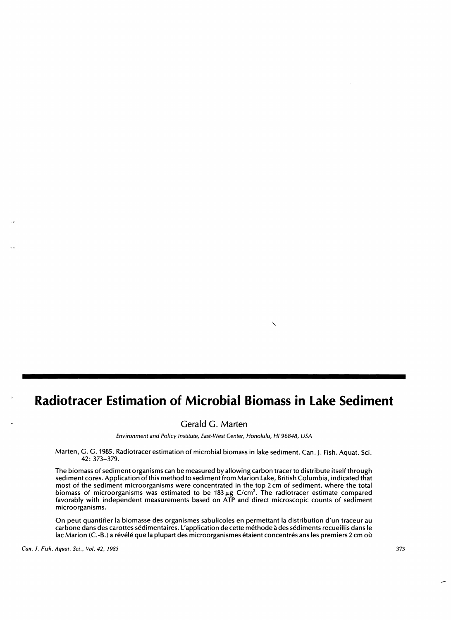# **Radiotracer Estimation of Microbial Biomass in Lake Sediment**

Gerald G. Marten

Environment and Policy Institute, East-West Center, Honolulu, HI 96848, USA

Marten, G. G. 1985. Radiotracer estimation of microbial biomass in lake sediment. Can. J. Fish. Aquat. Sci. 42: 373-379.

The biomass of sediment organisms can be measured by allowing carbon tracer to distribute itself through sediment cores. Application of this method to sediment from Marion lake, British Columbia, indicated that most of the sediment microorganisms were concentrated in the top 2 cm of sediment, where the total biomass of microorganisms was estimated to be 183  $\mu$ g C/cm<sup>2</sup>. The radiotracer estimate compared favorably with independent measurements based on ATP and direct microscopic counts of sediment microorganisms.

On peut quantifier la biomasse des organismes sabulicoles en permettant la distribution d'un traceur au carbone dans des carottes sedimentaires. l'application de cette methode ades sediments recueillis dans Ie lac Marion (C.-B.) a révélé que la plupart des microorganismes étaient concentrés ans les premiers 2 cm où

*Can.* J. *Fish. Aquat. Sci., Vol.* 42, 1985 373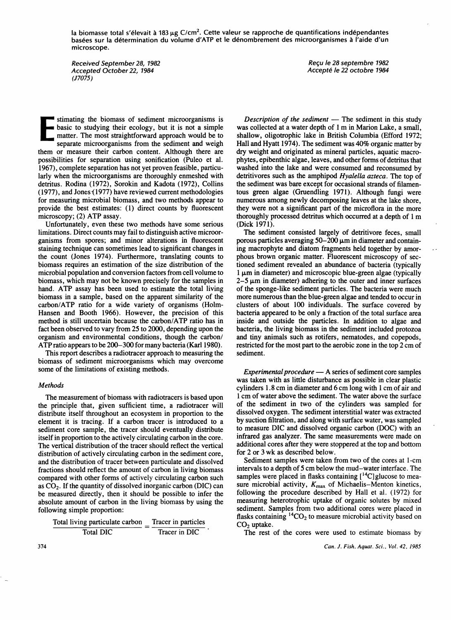la biomasse total s'élevait à 183 µg C/cm<sup>2</sup>. Cette valeur se rapproche de quantifications indépendantes basées sur la détermination du volume d'ATP et le dénombrement des microorganismes à l'aide d'un microscope.

Received September 28, 1982 Accepted October 22, 1984 (J7075)

Recu le 28 septembre 1982 Accepte Ie 22 oetobre 1984

E<br>E<br>E<br>Se<br>Se stimating the biomass of sediment microorganisms is basic to studying their ecology, but it is not a simple matter. The most straightforward approach would be to separate microorganisms from the sediment and weigh them or measure their carbon content. Although there are possibilities for separation using sonification (Puleo et al. 1967), complete separation has not yet proven feasible, particularly when the microorganisms are thoroughly enmeshed with detritus. Rodina (1972), Sorokin and Kadota (1972), Collins  $(1977)$ , and Jones  $(1977)$  have reviewed current methodologies for measuring microbial biomass, and two methods appear to provide the best estimates: (1) direct counts by fluorescent microscopy; (2) ATP assay.

Unfortunately, even these two methods have some serious limitations. Direct counts may fail to distinguish active microorganisms from spores; and minor alterations in fluorescent staining technique can sometimes lead to significant changes in the count (Jones 1974). Furthermore, translating counts to biomass requires an estimation of the size distribution of the microbial population and conversion factors from cell volume to biomass, which may not be known precisely for the samples in hand. ATP assay has been used to estimate the total living biomass in a sample, based on the apparent similarity of the carbon/ATP ratio for a wide variety of organisms (Holm-Hansen and Booth 1966). However, the precision of this method is still uncertain because the carbon/ATP ratio has in fact been observed to vary from 25 to 2000, depending upon the organism and environmental conditions, though the carbon/ ATP ratio appears to be 200-300 for many bacteria (Karl 1980).

This report describes a radiotracer approach to measuring the biomass of sediment microorganisms which may overcome some of the limitations of existing methods.

### *Methods*

The measurement of biomass with radiotracers is based upon the principle that, given sufficient time, a radiotracer will distribute itself throughout an ecosystem in proportion to the element it is tracing. If a carbon tracer is introduced to a sediment core sample, the tracer should eventually distribute itself in proportion to the actively circulating carbon in the core. The vertical distribution of the tracer should reflect the vertical distribution of actively circulating carbon in the sediment core, and the distribution of tracer between particulate and dissolved fractions should reflect the amount of carbon in living biomass compared with other forms of actively circulating carbon such as  $CO<sub>2</sub>$ . If the quantity of dissolved inorganic carbon (DIC) can be measured directly, then it should be possible to infer the absolute amount of carbon in the living biomass by using the following simple proportion:

Total living particulate carbon \_ Tracer in particles Total DIC Tracer in DIC

*Description of the sediment* - The sediment in this study was collected at a water depth of 1 m in Marion Lake, a small, shallow, oligotrophic lake in British Columbia (Efford 1972; Hall and Hyatt 1974). The sediment was 40% organic matter by dry weight and originated as mineral particles, aquatic macrophytes, epibenthic algae, leaves, and other forms of detritus that washed into the lake and were consumed and reconsumed by detritivores such as the amphipod *Hyalella azteca.* The top of the sediment was bare except for occasional strands of filamentous green algae (Gruendling 1971). Although fungi were numerous among newly decomposing leaves at the lake shore, they were not a significant part of the microflora in the more thoroughly processed detritus which occurred at a depth of 1 m (Dick 1971).

The sediment consisted largely of detritivore feces, small porous particles averaging  $50-200 \mu m$  in diameter and containing macrophyte and diatom fragments held together by amorphous brown organic matter. Fluorescent microscopy of sectioned sediment revealed an abundance of bacteria (typically  $1 \mu$ m in diameter) and microscopic blue-green algae (typically  $2-5 \mu m$  in diameter) adhering to the outer and inner surfaces of the sponge-like sediment particles. The bacteria were much more numerous than the blue-green algae and tended to occur in clusters of about 100 individuals. The surface covered by bacteria appeared to be only a fraction of the total surface area inside and outside the particles. In addition to algae and bacteria, the living biomass in the sediment included protozoa and tiny animals such as rotifers, nematodes, and copepods, restricted for the most part to the aerobic zone in the top 2 cm of sediment.

*Experimental procedure* — A series of sediment core samples was taken with as little disturbance as possible in clear plastic cylinders 1.8 cm in diameter and 6 cm long with 1 cm of air and 1cm of water above the sediment. The water above the surface of the sediment in two of the cylinders was sampled for dissolved oxygen. The sediment interstitial water was extracted by suction filtration, and along with surface water, was sampled to measure DIC and dissolved organic carbon (DOC) with an infrared gas analyzer. The same measurements were made on additional cores after they were stoppered at the top and bottom for 2 or 3 wk as described below.

Sediment samples were taken from two of the cores at 1-cm intervals to a depth of 5 cm below the mud-water interface. The samples were placed in flasks containing  $[$ <sup>14</sup>C]glucose to measure microbial activity,  $K_{\text{max}}$  of Michaelis-Menton kinetics, following the procedure described by Hall et al. (1972) for measuring heterotrophic uptake of organic solutes by mixed sediment. Samples from two additional cores were placed in flasks containing  ${}^{14}CO_2$  to measure microbial activity based on  $CO<sub>2</sub>$  uptake.

The rest of the cores were used to estimate biomass by

374 *Can.* J. *Fish. Aquat. Sci., Vol.* 42, 1985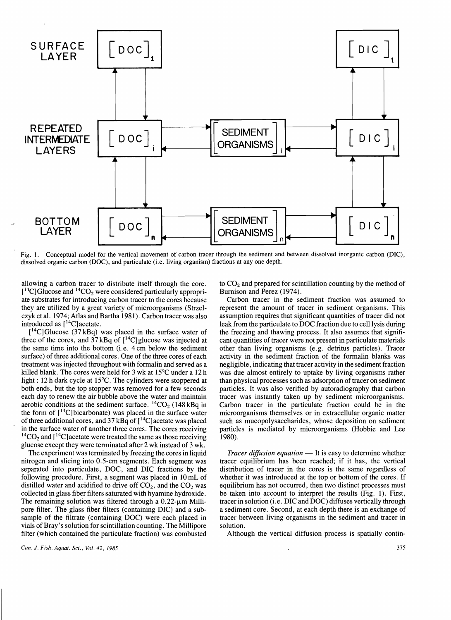

Fig. 1. Conceptual model for the vertical movement of carbon tracer through the sediment and between dissolved inorganic carbon (DIC), dissolved organic carbon (DOC), and particulate (i.e. living organism) fractions at anyone depth.

allowing a carbon tracer to distribute itself through the core.  $[$ <sup>14</sup>C] Glucose and <sup>14</sup>CO<sub>2</sub> were considered particularly appropri ate substrates for introducing carbon tracer to the cores because they are utilized by a great variety of microorganisms (Strzelczyk et al. 1974; Atlas and Bartha 1981). Carbon tracer was also introduced as  $[14C]$  acetate.

 $[{}^{14}C]$ Glucose (37 kBq) was placed in the surface water of three of the cores, and  $37$  kBq of  $[^{14}C]$ glucose was injected at the same time into the bottom (i.e. 4 em below the sediment surface) of three additional cores. One of the three cores of each treatment was injected throughout with formalin and served as a killed blank. The cores were held for 3 wk at 15°C under a 12 h light: 12 h dark cycle at 15°C. The cylinders were stoppered at both ends, but the top stopper was removed for a few seconds each day to renew the air bubble above the water and maintain aerobic conditions at the sediment surface.  ${}^{14}CO_2$  (148 kBq in the form of  $[$ <sup>14</sup>C] bicarbonate) was placed in the surface water of three additional cores, and  $37 \text{ kBq}$  of  $[{}^{14}C]$  acetate was placed in the surface water of another three cores. The cores receiving  ${}^{14}CO_2$  and [ ${}^{14}C$ ] acetate were treated the same as those receiving glucose except they were terminated after 2 wk instead of 3 wk.

The experiment was terminated by freezing the cores in liquid nitrogen and slicing into 0.5-cm segments. Each segment was separated into particulate, DOC, and DIC fractions by the following procedure. First, a segment was placed in 10 mL of distilled water and acidified to drive off  $CO<sub>2</sub>$ , and the  $CO<sub>2</sub>$  was collected in glass fiber filters saturated with hyamine hydroxide. The remaining solution was filtered through a  $0.22$ - $\mu$ m Millipore filter. The glass fiber filters (containing DIC) and a subsample of the filtrate (containing DOC) were each placed in vials of Bray's solution for scintillation counting. The Millipore filter (which contained the particulate fraction) was combusted

*Can.* J. *Fish. Aquat. Sci., Vol.* 42, 1985

to  $CO<sub>2</sub>$  and prepared for scintillation counting by the method of Bumison and Perez (1974).

Carbon tracer in the sediment fraction was assumed to represent the amount of tracer in sediment organisms. This assumption requires that significant quantities of tracer did not leak from the particulate to DOC fraction due to cell lysis during the freezing and thawing process. It also assumes that significant quantities of tracer were not present in particulate materials other than living organisms (e.g. detritus particles). Tracer activity in the sediment fraction of the formalin blanks was negligible, indicating that tracer activity in the sediment fraction was due almost entirely to uptake by living organisms rather than physical processes such as adsorption of tracer on sediment particles. It was also verified by autoradiography that carbon tracer was instantly taken up by sediment microorganisms. Carbon tracer in the particulate fraction could be in the microorganisms themselves or in extracellular organic matter such as mucopolysaccharides, whose deposition on sediment particles is mediated by microorganisms (Hobbie and Lee 1980).

*Tracer diffusion equation* — It is easy to determine whether tracer equilibrium has been reached; if it has, the vertical distribution of tracer in the cores is the same regardless of whether it was introduced at the top or bottom of the cores. If equilibrium has not occurred, then two distinct processes must be taken into account to interpret the results (Fig. 1). First, tracer in solution (i.e. DIC and DOC) diffuses vertically through a sediment core. Second, at each depth there is an exchange of tracer between living organisms in the sediment and tracer in solution.

Although the vertical diffusion process is spatially contin-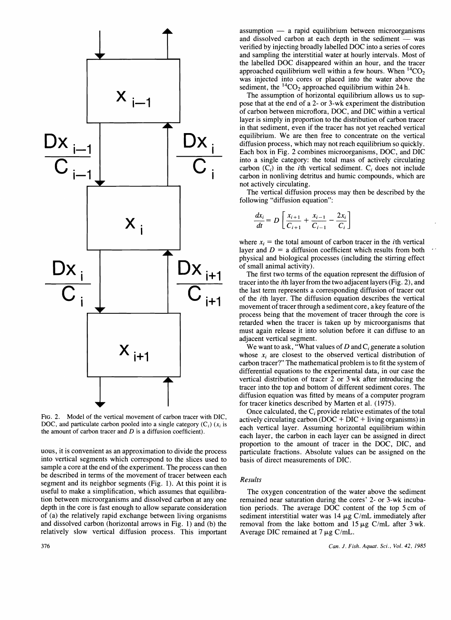

FIG. 2. Model of the vertical movement of carbon tracer with DIC, DOC, and particulate carbon pooled into a single category  $(C_i)$  ( $x_i$  is the amount of carbon tracer and  $D$  is a diffusion coefficient).

uous, it is convenient as an approximation to divide the process into vertical segments which correspond to the slices used to sample a core at the end of the experiment. The process can then be described in terms of the movement of tracer between each segment and its neighbor segments (Fig. 1). At this point it is useful to make a simplification, which assumes that equilibration between microorganisms and dissolved carbon at anyone depth in the core is fast enough to allow separate consideration of (a) the relatively rapid exchange between living organisms and dissolved carbon (horizontal arrows in Fig. 1) and (b) the relatively slow vertical diffusion process. This important assumption  $-$  a rapid equilibrium between microorganisms and dissolved carbon at each depth in the sediment  $-$  was verified by injecting broadly labelled DOC into a series of cores and sampling the interstitial water at hourly intervals. Most of the labelled DOC disappeared within an hour, and the tracer approached equilibrium well within a few hours. When  ${}^{14}CO<sub>2</sub>$ was injected into cores or placed into the water above the sediment, the  ${}^{14}CO_2$  approached equilibrium within 24 h.

The assumption of horizontal equilibrium allows us to suppose that at the end of a 2- or 3-wk experiment the distribution of carbon between microflora, DOC, and DIC within a vertical layer is simply in proportion to the distribution of carbon tracer in that sediment, even if the tracer has not yet reached vertical equilibrium. We are then free to concentrate on the vertical diffusion process, which may not reach equilibrium so quickly. Each box in Fig. 2 combines microorganisms, DOC, and DIC into a single category: the total mass of actively circulating carbon  $(C_i)$  in the *i*th vertical sediment.  $C_i$  does not include carbon in nonliving detritus and humic compounds, which are not actively circulating.

The vertical diffusion process may then be described by the following "diffusion equation":

$$
\frac{dx_i}{dt} = D \left[ \frac{x_{i+1}}{C_{i+1}} + \frac{x_{i-1}}{C_{i-1}} - \frac{2x_i}{C_i} \right]
$$

where  $x_i$  = the total amount of carbon tracer in the *i*th vertical layer and  $D = a$  diffusion coefficient which results from both physical and biological processes (including the stirring effect of small animal activity).

The first two terms of the equation represent the diffusion of tracer into the ith layer from the two adjacent layers (Fig. 2), and the last term represents a corresponding diffusion of tracer out of the ith layer. The diffusion equation describes the vertical movement of tracer through a sediment core, a key feature of the process being that the movement of tracer through the core is retarded when the tracer is taken up by microorganisms that must again release it into solution before it can diffuse to an adjacent vertical segment.

We want to ask, "What values of *D* and *Ci* generate a solution whose  $x_i$  are closest to the observed vertical distribution of carbon tracer?" The mathematical problem is to fit the system of differential equations to the experimental data, in our case the vertical distribution of tracer 2 or 3 wk after introducing the tracer into the top and bottom of different sediment cores. The diffusion equation was fitted by means of a computer program for tracer kinetics described by Marten et al. (1975).

Once calculated, the *Ci* provide relative estimates of the total actively circulating carbon  $(DOC + DIC + Iiving$  organisms) in each vertical layer. Assuming horizontal equilibrium within each layer, the carbon in each layer can be assigned in direct proportion to the amount of tracer in the DOC, DIC, and particulate fractions. Absolute values can be assigned on the basis of direct measurements of DIC.

## *Results*

The oxygen concentration of the water above the sediment remained near saturation during the cores' 2- or 3-wk incubation periods. The average DOC content of the top 5 cm of sediment interstitial water was  $14 \mu g$  C/mL immediately after removal from the lake bottom and  $15 \mu g$  C/mL after 3 wk. Average DIC remained at  $7 \mu g$  C/mL.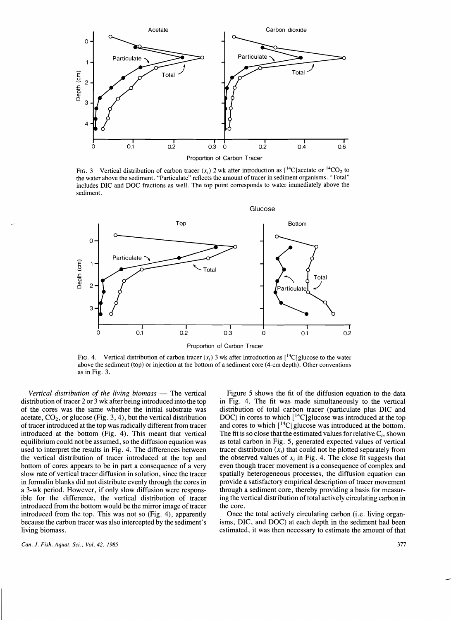

FIG. 3 Vertical distribution of carbon tracer  $(x_i)$  2 wk after introduction as  $\left[\begin{array}{cc}1^4C\end{array}\right]$  acetate or  $\left[\begin{array}{cc}1^4C\end{array}\right]$ the water above the sediment. "Particulate" reflects the amount of tracer in sediment organisms. "Total" includes DIC and DOC fractions as well. The top point corresponds to water immediately above the sediment.



FIG. 4. Vertical distribution of carbon tracer  $(x_i)$  3 wk after introduction as  $\mathbb{I}^1C$  glucose to the water above the sediment (top) or injection at the bottom of a sediment core (4-cm depth). Other conventions as in Fig. 3.

*Vertical distribution of the living biomass* — The vertical Figure 5 shows the fit of the diffusion equation to the data distribution of tracer 2 or 3 wk after being introduced into the top in Fig. 4. The fit was made simultaneously to the vertical of the cores was the same whether the initial substrate was distribution of total carbon trace acetate,  $CO<sub>2</sub>$ , or glucose (Fig. 3, 4), but the vertical distribution of tracer introduced at the top was radically different from tracer introduced at the bottom (Fig. 4). This meant that vertical The fit is so close that the estimated values for relative  $C_i$ , shown equilibrium could not be assumed, so the diffusion equation was as total carbon in Fig. 5, used to interpret the results in Fig. 4. The differences between tracer distribution  $(x<sub>i</sub>)$  that could not be plotted separately from the vertical distribution of tracer introduced at the top and the observed values of  $x_i$  in Fig. 4. The close fit suggests that bottom of cores appears to be in part a consequence of a very even though tracer movement is bottom of cores appears to be in part a consequence of a very slow rate of vertical tracer diffusion in solution, since the tracer in formalin blanks did not distribute evenly through the cores in provide a satisfactory empirical description of tracer movement a 3-wk period. However, if only slow diffusion were respons-<br>through a sediment core, thereby providing a basis for measurible for the difference, the vertical distribution of tracer ing the vertical distribution of total actively circulating carbon in introduced from the bottom would be the mirror image of tracer the core. introduced from the bottom would be the mirror image of tracer introduced from the top. This was not so (Fig. 4), apparently Once the total actively circulating carbon (i.e. living organ-

distribution of total carbon tracer (particulate plus DIC and DOC) in cores to which  $[{}^{14}C]$  glucose was introduced at the top and cores to which  $\lceil {^{14}C} \rceil$  glucose was introduced at the bottom. as total carbon in Fig. 5, generated expected values of vertical spatially heterogeneous processes, the diffusion equation can

because the carbon tracer was also intercepted by the sediment's isms, DIC, and DOC) at each depth in the sediment had been living biomass. estimated, it was then necessary to estimate the amount of that

*Can.* J. *Fish. Aquat. Sci., Vol.* 42, 1985 377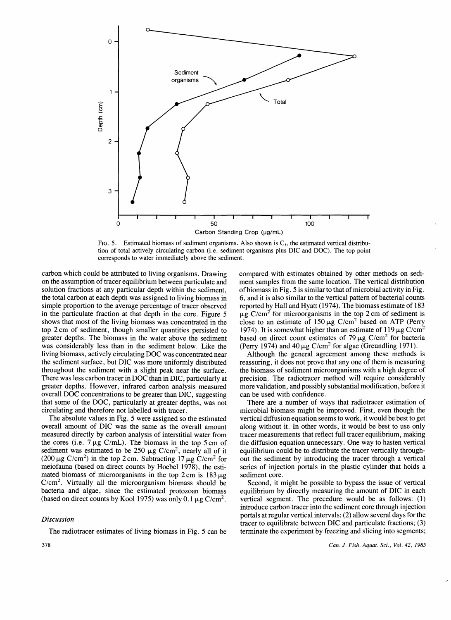



carbon which could be attributed to living organisms. Drawing on the assumption of tracer equilibrium between particulate and solution fractions at any particular depth within the sediment, the total carbon at each depth was assigned to living biomass in simple proportion to the average percentage of tracer observed in the particulate fraction at that depth in the core. Figure 5 shows that most of the living biomass was concentrated in the top 2 cm of sediment, though smaller quantities persisted to greater depths. The biomass in the water above the sediment was considerably less than in the sediment below. Like the living biomass, actively circulating DOC was concentrated near the sediment surface, but DIC was more uniformly distributed throughout the sediment with a slight peak near the surface. There was less carbon tracer in DOC than in DIC, particularly at greater depths. However, infrared carbon analysis measured overall DOC concentrations to be greater than DIC, suggesting that some of the DOC, particularly at greater depths, was not circulating and therefore not labelled with tracer.

The absolute values in Fig. 5 were assigned so the estimated overall amount of DIC was the same as the overall amount measured directly by carbon analysis of interstitial water from the cores (i.e.  $7 \mu g$  C/mL). The biomass in the top 5 cm of sediment was estimated to be 250  $\mu$ g C/cm<sup>2</sup>, nearly all of it (200  $\mu$ g C/cm<sup>2</sup>) in the top 2 cm. Subtracting 17  $\mu$ g C/cm<sup>2</sup> for meiofauna (based on direct counts by Hoebel 1978), the estimated biomass of microorganisms in the top  $2 \text{ cm}$  is  $183 \mu g$  $C/cm<sup>2</sup>$ . Virtually all the microorganism biomass should be bacteria and algae, since the estimated protozoan biomass (based on direct counts by Kool 1975) was only 0.1  $\mu$ g C/cm<sup>2</sup>.

# *Discussion*

The radiotracer estimates of living biomass in Fig. 5 can be

compared with estimates obtained by other methods on sediment samples from the same location. The vertical distribution ofbiomass in Fig. 5 is similar to that of microbial activity in Fig. 6, and it is also similar to the vertical pattern of bacterial counts reported by Hall and Hyatt (1974). The biomass estimate of 183  $\mu$ g C/cm<sup>2</sup> for microorganisms in the top 2 cm of sediment is close to an estimate of  $150 \mu g$  C/cm<sup>2</sup> based on ATP (Perry 1974). It is somewhat higher than an estimate of 119  $\mu$ g C/cm<sup>2</sup> based on direct count estimates of 79  $\mu$ g C/cm<sup>2</sup> for bacteria (Perry 1974) and 40  $\mu$ g C/cm<sup>2</sup> for algae (Greundling 1971).

Although the general agreement among these methods is reassuring, it does not prove that anyone of them is measuring the biomass of sediment microorganisms with a high degree of precision. The radiotracer method will require considerably more validation, and possibly substantial modification, before it can be used with confidence.

There are a number of ways that radiotracer estimation of microbial biomass might be improved. First, even though the vertical diffusion equation seems to work, it would be best to get along without it. In other words, it would be best to use only tracer measurements that reflect full tracer equilibrium, making the diffusion equation unnecessary. One way to hasten vertical equilibrium could be to distribute the tracer vertically throughout the sediment by introducing the tracer through a vertical series of injection portals in the plastic cylinder that holds a sediment core.

Second, it might be possible to bypass the issue of vertical equilibrium by directly measuring the amount of DIC in each vertical segment. The precedure would be as follows: (1) introduce carbon tracer into the sediment core through injection portals at regular vertical intervals; (2) allow several days for the tracer to equilibrate between DIC and particulate fractions; (3) terminate the experiment by freezing and slicing into segments;